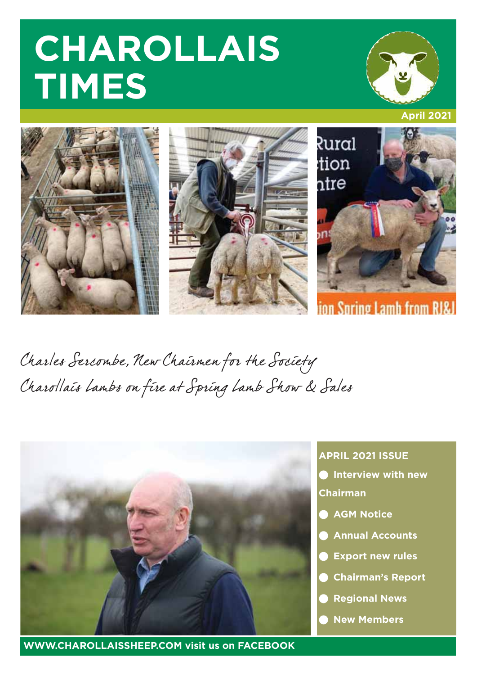# **CHAROLLAIS TIMES**





Charles Sercombe, New Chairmen for the Society Charollais Lambs on fire at Spring Lamb Show & Sales



**WWW.CHAROLLAISSHEEP.COM visit us on FACEBOOK**

### **APRIL 2021 ISSUE**

**Interview with new** 

**Chairman**

- **AGM Notice**
- **Annual Accounts**
- **Export new rules**
- **Chairman's Report**
- **Regional News**
- **New Members**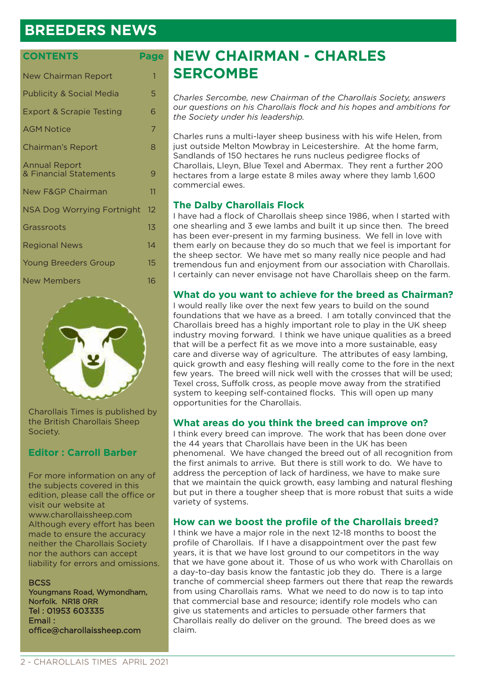## **BREEDERS NEWS**

#### **CONTENTS Page**

| <b>New Chairman Report</b>                     | 1  |
|------------------------------------------------|----|
| <b>Publicity &amp; Social Media</b>            | 5  |
| <b>Export &amp; Scrapie Testing</b>            | 6  |
| <b>AGM Notice</b>                              | 7  |
| Chairman's Report                              | 8  |
| <b>Annual Report</b><br>& Financial Statements | 9  |
| <b>New F&amp;GP Chairman</b>                   | 11 |
| <b>NSA Dog Worrying Fortnight</b>              | 12 |
| Grassroots                                     | 13 |
| <b>Regional News</b>                           | 14 |
| <b>Young Breeders Group</b>                    | 15 |
| <b>New Members</b>                             | 16 |



Charollais Times is published by the British Charollais Sheep Society.

#### **Editor : Carroll Barber**

For more information on any of the subjects covered in this edition, please call the office or visit our website at www.charollaissheep.com Although every effort has been made to ensure the accuracy neither the Charollais Society nor the authors can accept liability for errors and omissions.

#### **BCSS**

Youngmans Road, Wymondham, Norfolk. NR18 0RR Tel : 01953 603335 Email : office@charollaissheep.com

## **NEW CHAIRMAN - CHARLES SERCOMBE**

*Charles Sercombe, new Chairman of the Charollais Society, answers our questions on his Charollais flock and his hopes and ambitions for the Society under his leadership.* 

Charles runs a multi-layer sheep business with his wife Helen, from just outside Melton Mowbray in Leicestershire. At the home farm, Sandlands of 150 hectares he runs nucleus pedigree flocks of Charollais, Lleyn, Blue Texel and Abermax. They rent a further 200 hectares from a large estate 8 miles away where they lamb 1,600 commercial ewes.

#### **The Dalby Charollais Flock**

I have had a flock of Charollais sheep since 1986, when I started with one shearling and 3 ewe lambs and built it up since then. The breed has been ever-present in my farming business. We fell in love with them early on because they do so much that we feel is important for the sheep sector. We have met so many really nice people and had tremendous fun and enjoyment from our association with Charollais. I certainly can never envisage not have Charollais sheep on the farm.

#### **What do you want to achieve for the breed as Chairman?**

I would really like over the next few years to build on the sound foundations that we have as a breed. I am totally convinced that the Charollais breed has a highly important role to play in the UK sheep industry moving forward. I think we have unique qualities as a breed that will be a perfect fit as we move into a more sustainable, easy care and diverse way of agriculture. The attributes of easy lambing, quick growth and easy fleshing will really come to the fore in the next few years. The breed will nick well with the crosses that will be used; Texel cross, Suffolk cross, as people move away from the stratified system to keeping self-contained flocks. This will open up many opportunities for the Charollais.

#### **What areas do you think the breed can improve on?**

I think every breed can improve. The work that has been done over the 44 years that Charollais have been in the UK has been phenomenal. We have changed the breed out of all recognition from the first animals to arrive. But there is still work to do. We have to address the perception of lack of hardiness, we have to make sure that we maintain the quick growth, easy lambing and natural fleshing but put in there a tougher sheep that is more robust that suits a wide variety of systems.

#### **How can we boost the profile of the Charollais breed?**

I think we have a major role in the next 12-18 months to boost the profile of Charollais. If I have a disappointment over the past few years, it is that we have lost ground to our competitors in the way that we have gone about it. Those of us who work with Charollais on a day-to-day basis know the fantastic job they do. There is a large tranche of commercial sheep farmers out there that reap the rewards from using Charollais rams. What we need to do now is to tap into that commercial base and resource; identify role models who can give us statements and articles to persuade other farmers that Charollais really do deliver on the ground. The breed does as we claim.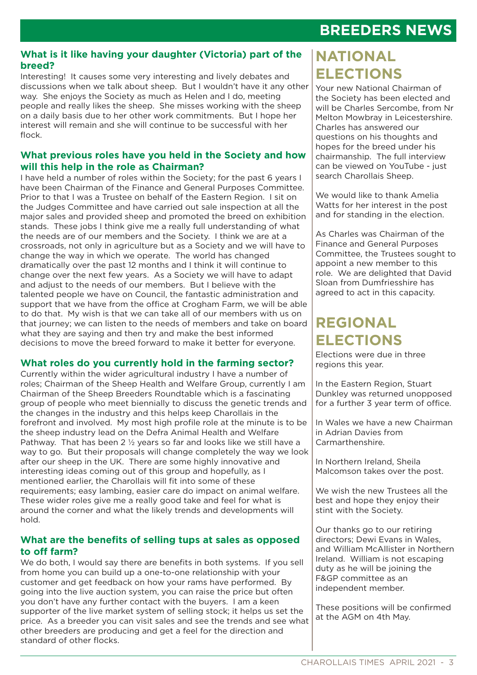### **BREEDERS NEWS**

#### **What is it like having your daughter (Victoria) part of the breed?**

Interesting! It causes some very interesting and lively debates and discussions when we talk about sheep. But I wouldn't have it any other way. She enjoys the Society as much as Helen and I do, meeting people and really likes the sheep. She misses working with the sheep on a daily basis due to her other work commitments. But I hope her interest will remain and she will continue to be successful with her flock.

#### **What previous roles have you held in the Society and how will this help in the role as Chairman?**

I have held a number of roles within the Society; for the past 6 years I have been Chairman of the Finance and General Purposes Committee. Prior to that I was a Trustee on behalf of the Eastern Region. I sit on the Judges Committee and have carried out sale inspection at all the major sales and provided sheep and promoted the breed on exhibition stands. These jobs I think give me a really full understanding of what the needs are of our members and the Society. I think we are at a crossroads, not only in agriculture but as a Society and we will have to change the way in which we operate. The world has changed dramatically over the past 12 months and I think it will continue to change over the next few years. As a Society we will have to adapt and adjust to the needs of our members. But I believe with the talented people we have on Council, the fantastic administration and support that we have from the office at Crogham Farm, we will be able to do that. My wish is that we can take all of our members with us on that journey; we can listen to the needs of members and take on board what they are saying and then try and make the best informed decisions to move the breed forward to make it better for everyone.

### **What roles do you currently hold in the farming sector?**

Currently within the wider agricultural industry I have a number of roles; Chairman of the Sheep Health and Welfare Group, currently I am Chairman of the Sheep Breeders Roundtable which is a fascinating group of people who meet biennially to discuss the genetic trends and the changes in the industry and this helps keep Charollais in the forefront and involved. My most high profile role at the minute is to be the sheep industry lead on the Defra Animal Health and Welfare Pathway. That has been 2 ½ years so far and looks like we still have a way to go. But their proposals will change completely the way we look after our sheep in the UK. There are some highly innovative and interesting ideas coming out of this group and hopefully, as I mentioned earlier, the Charollais will fit into some of these requirements; easy lambing, easier care do impact on animal welfare. These wider roles give me a really good take and feel for what is around the corner and what the likely trends and developments will hold.

#### **What are the benefits of selling tups at sales as opposed to off farm?**

We do both, I would say there are benefits in both systems. If you sell from home you can build up a one-to-one relationship with your customer and get feedback on how your rams have performed. By going into the live auction system, you can raise the price but often you don't have any further contact with the buyers. I am a keen supporter of the live market system of selling stock; it helps us set the price. As a breeder you can visit sales and see the trends and see what other breeders are producing and get a feel for the direction and standard of other flocks.

# **NATIONAL ELECTIONS**

Your new National Chairman of the Society has been elected and will be Charles Sercombe, from Nr Melton Mowbray in Leicestershire. Charles has answered our questions on his thoughts and hopes for the breed under his chairmanship. The full interview can be viewed on YouTube - just search Charollais Sheep.

We would like to thank Amelia Watts for her interest in the post and for standing in the election.

As Charles was Chairman of the Finance and General Purposes Committee, the Trustees sought to appoint a new member to this role. We are delighted that David Sloan from Dumfriesshire has agreed to act in this capacity.

# **REGIONAL ELECTIONS**

Elections were due in three regions this year.

In the Eastern Region, Stuart Dunkley was returned unopposed for a further 3 year term of office.

In Wales we have a new Chairman in Adrian Davies from Carmarthenshire.

In Northern Ireland, Sheila Malcomson takes over the post.

We wish the new Trustees all the best and hope they enjoy their stint with the Society.

Our thanks go to our retiring directors; Dewi Evans in Wales, and William McAllister in Northern Ireland. William is not escaping duty as he will be joining the F&GP committee as an independent member.

These positions will be confirmed at the AGM on 4th May.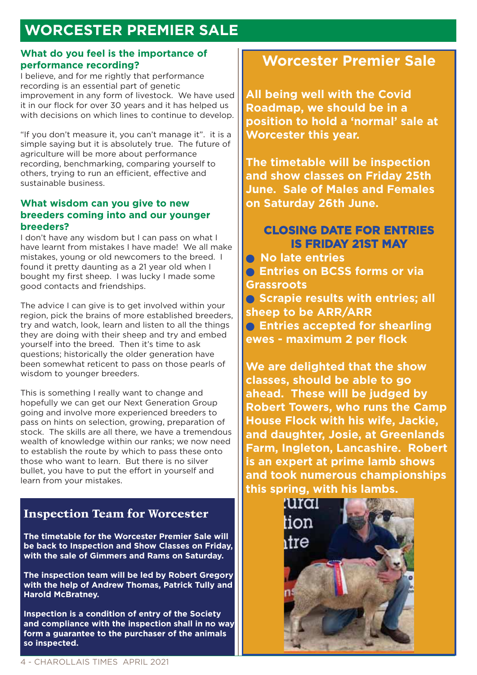# **WORCESTER PREMIER SALE**

#### **What do you feel is the importance of performance recording?**

I believe, and for me rightly that performance recording is an essential part of genetic improvement in any form of livestock. We have used it in our flock for over 30 years and it has helped us with decisions on which lines to continue to develop.

"If you don't measure it, you can't manage it". it is a simple saying but it is absolutely true. The future of agriculture will be more about performance recording, benchmarking, comparing yourself to others, trying to run an efficient, effective and sustainable business.

#### **What wisdom can you give to new breeders coming into and our younger breeders?**

I don't have any wisdom but I can pass on what I have learnt from mistakes I have made! We all make mistakes, young or old newcomers to the breed. I found it pretty daunting as a 21 year old when I bought my first sheep. I was lucky I made some good contacts and friendships.

The advice I can give is to get involved within your region, pick the brains of more established breeders, try and watch, look, learn and listen to all the things they are doing with their sheep and try and embed yourself into the breed. Then it's time to ask questions; historically the older generation have been somewhat reticent to pass on those pearls of wisdom to younger breeders.

This is something I really want to change and hopefully we can get our Next Generation Group going and involve more experienced breeders to pass on hints on selection, growing, preparation of stock. The skills are all there, we have a tremendous wealth of knowledge within our ranks; we now need to establish the route by which to pass these onto those who want to learn. But there is no silver bullet, you have to put the effort in yourself and learn from your mistakes.

### Inspection Team for Worcester

**The timetable for the Worcester Premier Sale will be back to Inspection and Show Classes on Friday, with the sale of Gimmers and Rams on Saturday.** 

**The inspection team will be led by Robert Gregory with the help of Andrew Thomas, Patrick Tully and Harold McBratney.** 

**Inspection is a condition of entry of the Society and compliance with the inspection shall in no way form a guarantee to the purchaser of the animals so inspected.** 

# **Worcester Premier Sale**

**All being well with the Covid Roadmap, we should be in a position to hold a 'normal' sale at Worcester this year.** 

**The timetable will be inspection and show classes on Friday 25th June. Sale of Males and Females on Saturday 26th June.** 

### **CLOSING DATE FOR ENTRIES IS FRIDAY 21ST MAY**

● **No late entries • Entries on BCSS forms or via Grassroots • Scrapie results with entries; all sheep to be ARR/ARR**

● **Entries accepted for shearling ewes - maximum 2 per flock**

**We are delighted that the show classes, should be able to go ahead. These will be judged by Robert Towers, who runs the Camp House Flock with his wife, Jackie, and daughter, Josie, at Greenlands Farm, Ingleton, Lancashire. Robert is an expert at prime lamb shows and took numerous championships this spring, with his lambs.** 

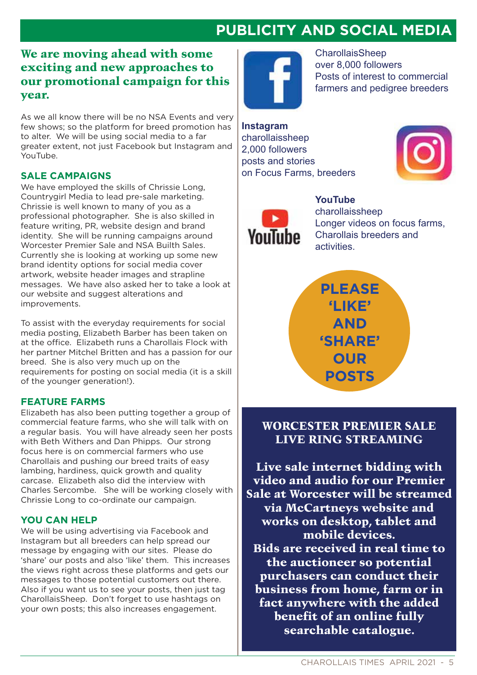# **PUBLICITY AND SOCIAL MEDIA**

### We are moving ahead with some exciting and new approaches to our promotional campaign for this year.

As we all know there will be no NSA Events and very few shows; so the platform for breed promotion has to alter. We will be using social media to a far greater extent, not just Facebook but Instagram and YouTube.

#### **SALE CAMPAIGNS**

We have employed the skills of Chrissie Long, Countrygirl Media to lead pre-sale marketing. Chrissie is well known to many of you as a professional photographer. She is also skilled in feature writing, PR, website design and brand identity. She will be running campaigns around Worcester Premier Sale and NSA Builth Sales. Currently she is looking at working up some new brand identity options for social media cover artwork, website header images and strapline messages. We have also asked her to take a look at our website and suggest alterations and improvements.

To assist with the everyday requirements for social media posting, Elizabeth Barber has been taken on at the office. Elizabeth runs a Charollais Flock with her partner Mitchel Britten and has a passion for our breed. She is also very much up on the requirements for posting on social media (it is a skill of the younger generation!).

#### **FEATURE FARMS**

Elizabeth has also been putting together a group of commercial feature farms, who she will talk with on a regular basis. You will have already seen her posts with Beth Withers and Dan Phipps. Our strong focus here is on commercial farmers who use Charollais and pushing our breed traits of easy lambing, hardiness, quick growth and quality carcase. Elizabeth also did the interview with Charles Sercombe. She will be working closely with Chrissie Long to co-ordinate our campaign.

#### **YOU CAN HELP**

We will be using advertising via Facebook and Instagram but all breeders can help spread our message by engaging with our sites. Please do 'share' our posts and also 'like' them. This increases the views right across these platforms and gets our messages to those potential customers out there. Also if you want us to see your posts, then just tag CharollaisSheep. Don't forget to use hashtags on your own posts; this also increases engagement.



**CharollaisSheep** over 8,000 followers Posts of interest to commercial farmers and pedigree breeders

**Instagram** charollaissheep 2,000 followers posts and stories on Focus Farms, breeders





YouTube **Charollaissheep** Longer videos on focus farms, Charollais breeders and activities.



### WORCESTER PREMIER SALE LIVE RING STREAMING

Live sale internet bidding with video and audio for our Premier Sale at Worcester will be streamed via McCartneys website and works on desktop, tablet and mobile devices. Bids are received in real time to the auctioneer so potential purchasers can conduct their business from home, farm or in fact anywhere with the added benefit of an online fully searchable catalogue.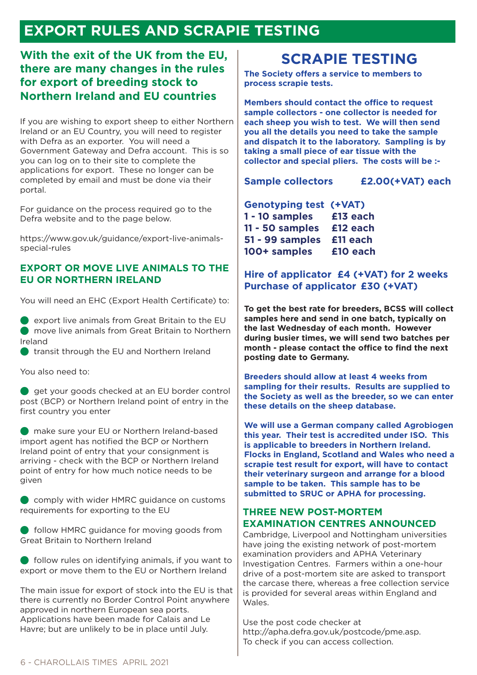# **EXPORT RULES AND SCRAPIE TESTING**

### **With the exit of the UK from the EU, there are many changes in the rules for export of breeding stock to Northern Ireland and EU countries**

If you are wishing to export sheep to either Northern Ireland or an EU Country, you will need to register with Defra as an exporter. You will need a Government Gateway and Defra account. This is so you can log on to their site to complete the applications for export. These no longer can be completed by email and must be done via their portal.

For guidance on the process required go to the Defra website and to the page below.

https://www.gov.uk/guidance/export-live-animalsspecial-rules

#### **EXPORT OR MOVE LIVE ANIMALS TO THE EU OR NORTHERN IRELAND**

You will need an EHC (Export Health Certificate) to:

 $\bullet$  export live animals from Great Britain to the EU ● move live animals from Great Britain to Northern Ireland

● transit through the EU and Northern Ireland

You also need to:

● get your goods checked at an EU border control post (BCP) or Northern Ireland point of entry in the first country you enter

● make sure your EU or Northern Ireland-based import agent has notified the BCP or Northern Ireland point of entry that your consignment is arriving - check with the BCP or Northern Ireland point of entry for how much notice needs to be given

● comply with wider HMRC guidance on customs requirements for exporting to the EU

● follow HMRC guidance for moving goods from Great Britain to Northern Ireland

 $\bullet$  follow rules on identifying animals, if you want to export or move them to the EU or Northern Ireland

The main issue for export of stock into the EU is that there is currently no Border Control Point anywhere approved in northern European sea ports. Applications have been made for Calais and Le Havre; but are unlikely to be in place until July.

### **SCRAPIE TESTING**

**The Society offers a service to members to process scrapie tests.** 

**Members should contact the office to request sample collectors - one collector is needed for each sheep you wish to test. We will then send you all the details you need to take the sample and dispatch it to the laboratory. Sampling is by taking a small piece of ear tissue with the collector and special pliers. The costs will be :-**

**Sample collectors £2.00(+VAT) each**

| <b>Genotyping test (+VAT)</b> |          |
|-------------------------------|----------|
| 1 - 10 samples                | £13 each |
| 11 - 50 samples               | £12 each |
| 51 - 99 samples               | £11 each |
| 100+ samples                  | £10 each |

### **Hire of applicator £4 (+VAT) for 2 weeks Purchase of applicator £30 (+VAT)**

**To get the best rate for breeders, BCSS will collect samples here and send in one batch, typically on the last Wednesday of each month. However during busier times, we will send two batches per month - please contact the office to find the next posting date to Germany.** 

**Breeders should allow at least 4 weeks from sampling for their results. Results are supplied to the Society as well as the breeder, so we can enter these details on the sheep database.**

**We will use a German company called Agrobiogen this year. Their test is accredited under ISO. This is applicable to breeders in Northern Ireland. Flocks in England, Scotland and Wales who need a scrapie test result for export, will have to contact their veterinary surgeon and arrange for a blood sample to be taken. This sample has to be submitted to SRUC or APHA for processing.** 

#### **THREE NEW POST-MORTEM EXAMINATION CENTRES ANNOUNCED**

Cambridge, Liverpool and Nottingham universities have joing the existing network of post-mortem examination providers and APHA Veterinary Investigation Centres. Farmers within a one-hour drive of a post-mortem site are asked to transport the carcase there, whereas a free collection service is provided for several areas within England and Wales.

Use the post code checker at http://apha.defra.gov.uk/postcode/pme.asp. To check if you can access collection.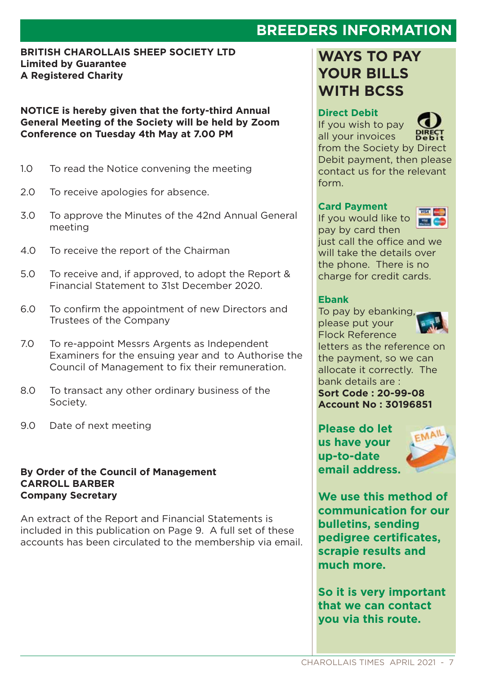## **BREEDERS INFORMATION**

#### **BRITISH CHAROLLAIS SHEEP SOCIETY LTD Limited by Guarantee A Registered Charity**

**NOTICE is hereby given that the forty-third Annual General Meeting of the Society will be held by Zoom Conference on Tuesday 4th May at 7.00 PM**

- 1.0 To read the Notice convening the meeting
- 2.0 To receive apologies for absence.
- 3.0 To approve the Minutes of the 42nd Annual General meeting
- 4.0 To receive the report of the Chairman
- 5.0 To receive and, if approved, to adopt the Report & Financial Statement to 31st December 2020.
- 6.0 To confirm the appointment of new Directors and Trustees of the Company
- 7.0 To re-appoint Messrs Argents as Independent Examiners for the ensuing year and to Authorise the Council of Management to fix their remuneration.
- 8.0 To transact any other ordinary business of the Society.
- 9.0 Date of next meeting

#### **By Order of the Council of Management CARROLL BARBER Company Secretary**

An extract of the Report and Financial Statements is included in this publication on Page 9. A full set of these accounts has been circulated to the membership via email.

### **WAYS TO PAY YOUR BILLS WITH BCSS**

### **Direct Debit**

If you wish to pay all your invoices



from the Society by Direct Debit payment, then please contact us for the relevant form.

#### **Card Payment**

If you would like to pay by card then



just call the office and we will take the details over the phone. There is no charge for credit cards.

#### **Ebank**

To pay by ebanking, please put your Flock Reference



letters as the reference on the payment, so we can allocate it correctly. The bank details are : **Sort Code : 20-99-08**

**Account No : 30196851**

**Please do let us have your up-to-date email address.** 



**We use this method of communication for our bulletins, sending pedigree certificates, scrapie results and much more.** 

**So it is very important that we can contact you via this route.**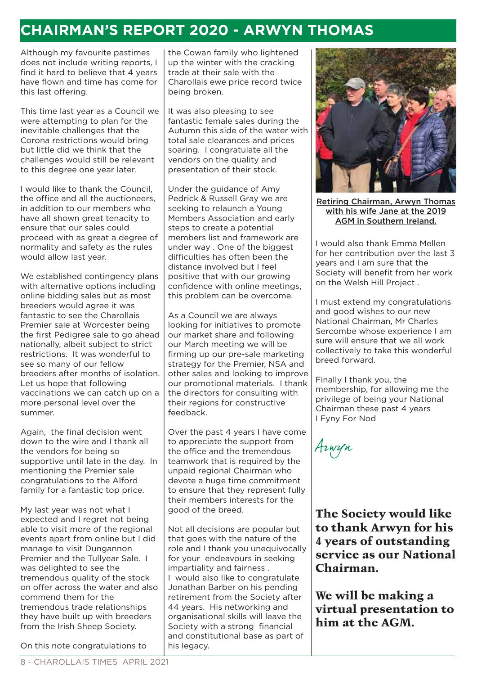### **CHAIRMAN'S REPORT 2020 - ARWYN THOMAS**

Although my favourite pastimes does not include writing reports, I find it hard to believe that 4 years have flown and time has come for this last offering.

This time last year as a Council we were attempting to plan for the inevitable challenges that the Corona restrictions would bring but little did we think that the challenges would still be relevant to this degree one year later.

I would like to thank the Council, the office and all the auctioneers, in addition to our members who have all shown great tenacity to ensure that our sales could proceed with as great a degree of normality and safety as the rules would allow last year.

We established contingency plans with alternative options including online bidding sales but as most breeders would agree it was fantastic to see the Charollais Premier sale at Worcester being the first Pedigree sale to go ahead nationally, albeit subject to strict restrictions. It was wonderful to see so many of our fellow breeders after months of isolation. Let us hope that following vaccinations we can catch up on a more personal level over the summer.

Again, the final decision went down to the wire and I thank all the vendors for being so supportive until late in the day. In mentioning the Premier sale congratulations to the Alford family for a fantastic top price.

My last year was not what I expected and I regret not being able to visit more of the regional events apart from online but I did manage to visit Dungannon Premier and the Tullyear Sale. I was delighted to see the tremendous quality of the stock on offer across the water and also commend them for the tremendous trade relationships they have built up with breeders from the Irish Sheep Society.

On this note congratulations to

the Cowan family who lightened up the winter with the cracking trade at their sale with the Charollais ewe price record twice being broken.

It was also pleasing to see fantastic female sales during the Autumn this side of the water with total sale clearances and prices soaring. I congratulate all the vendors on the quality and presentation of their stock.

Under the guidance of Amy Pedrick & Russell Gray we are seeking to relaunch a Young Members Association and early steps to create a potential members list and framework are under way . One of the biggest difficulties has often been the distance involved but I feel positive that with our growing confidence with online meetings, this problem can be overcome.

As a Council we are always looking for initiatives to promote our market share and following our March meeting we will be firming up our pre-sale marketing strategy for the Premier, NSA and other sales and looking to improve our promotional materials. I thank the directors for consulting with their regions for constructive feedback.

Over the past 4 years I have come to appreciate the support from the office and the tremendous teamwork that is required by the unpaid regional Chairman who devote a huge time commitment to ensure that they represent fully their members interests for the good of the breed.

Not all decisions are popular but that goes with the nature of the role and I thank you unequivocally for your endeavours in seeking impartiality and fairness . I would also like to congratulate Jonathan Barber on his pending retirement from the Society after 44 years. His networking and organisational skills will leave the Society with a strong financial and constitutional base as part of his legacy.



Retiring Chairman, Arwyn Thomas with his wife Jane at the 2019 AGM in Southern Ireland.

I would also thank Emma Mellen for her contribution over the last 3 years and I am sure that the Society will benefit from her work on the Welsh Hill Project .

I must extend my congratulations and good wishes to our new National Chairman, Mr Charles Sercombe whose experience I am sure will ensure that we all work collectively to take this wonderful breed forward.

Finally I thank you, the membership, for allowing me the privilege of being your National Chairman these past 4 years I Fyny For Nod

Arwyn

The Society would like to thank Arwyn for his 4 years of outstanding service as our National Chairman.

We will be making a virtual presentation to him at the AGM.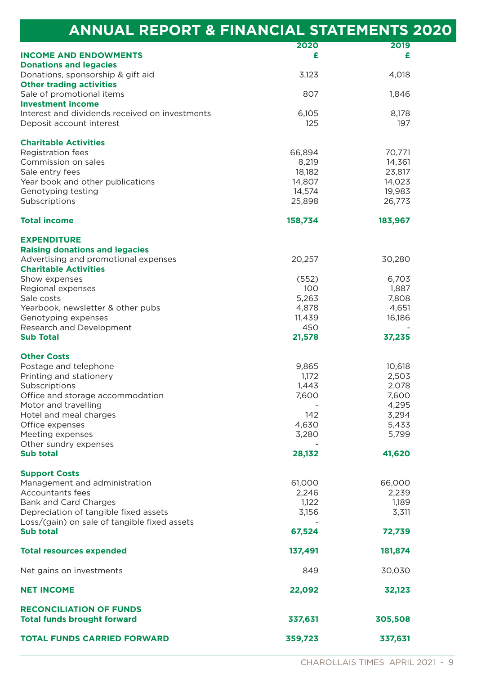| <b>ANNUAL REPORT &amp; FINANCIAL STATEMENTS 2020</b>                       |                  |                  |  |
|----------------------------------------------------------------------------|------------------|------------------|--|
| <b>INCOME AND ENDOWMENTS</b>                                               | 2020<br>£        | 2019<br>£        |  |
| <b>Donations and legacies</b>                                              |                  |                  |  |
| Donations, sponsorship & gift aid                                          | 3,123            | 4,018            |  |
| <b>Other trading activities</b>                                            |                  |                  |  |
| Sale of promotional items                                                  | 807              | 1,846            |  |
| <b>Investment income</b>                                                   |                  |                  |  |
| Interest and dividends received on investments<br>Deposit account interest | 6,105<br>125     | 8,178<br>197     |  |
| <b>Charitable Activities</b>                                               |                  |                  |  |
| Registration fees                                                          | 66,894           | 70,771           |  |
| Commission on sales                                                        | 8,219            | 14,361           |  |
| Sale entry fees                                                            | 18,182           | 23,817           |  |
| Year book and other publications                                           | 14,807           | 14,023           |  |
| Genotyping testing<br>Subscriptions                                        | 14,574<br>25,898 | 19,983<br>26,773 |  |
|                                                                            |                  |                  |  |
| <b>Total income</b>                                                        | 158,734          | 183,967          |  |
| <b>EXPENDITURE</b><br><b>Raising donations and legacies</b>                |                  |                  |  |
| Advertising and promotional expenses                                       | 20,257           | 30,280           |  |
| <b>Charitable Activities</b>                                               |                  |                  |  |
| Show expenses                                                              | (552)            | 6,703            |  |
| Regional expenses                                                          | 100              | 1,887            |  |
| Sale costs                                                                 | 5,263            | 7,808            |  |
| Yearbook, newsletter & other pubs                                          | 4,878            | 4,651            |  |
| Genotyping expenses                                                        | 11,439           | 16,186           |  |
| Research and Development                                                   | 450              |                  |  |
| <b>Sub Total</b>                                                           | 21,578           | 37,235           |  |
| <b>Other Costs</b>                                                         |                  |                  |  |
| Postage and telephone                                                      | 9,865            | 10,618           |  |
| Printing and stationery                                                    | 1,172            | 2,503            |  |
| Subscriptions                                                              | 1,443            | 2,078            |  |
| Office and storage accommodation                                           | 7,600            | 7,600            |  |
| Motor and travelling                                                       |                  | 4,295            |  |
| Hotel and meal charges                                                     | 142              | 3,294            |  |
| Office expenses                                                            | 4,630            | 5,433            |  |
| Meeting expenses                                                           | 3,280            | 5,799            |  |
| Other sundry expenses                                                      |                  |                  |  |
| <b>Sub total</b>                                                           | 28,132           | 41,620           |  |
| <b>Support Costs</b>                                                       |                  |                  |  |
| Management and administration                                              | 61,000           | 66,000           |  |
| Accountants fees                                                           | 2,246            | 2,239            |  |
| Bank and Card Charges                                                      | 1,122            | 1,189            |  |
| Depreciation of tangible fixed assets                                      | 3,156            | 3,311            |  |
| Loss/(gain) on sale of tangible fixed assets                               |                  |                  |  |
| <b>Sub total</b>                                                           | 67,524           | 72,739           |  |
| <b>Total resources expended</b>                                            | 137,491          | 181,874          |  |
| Net gains on investments                                                   | 849              | 30,030           |  |
| <b>NET INCOME</b>                                                          | 22,092           | 32,123           |  |
| <b>RECONCILIATION OF FUNDS</b>                                             |                  |                  |  |
| <b>Total funds brought forward</b>                                         | 337,631          | 305,508          |  |
|                                                                            |                  |                  |  |
| <b>TOTAL FUNDS CARRIED FORWARD</b>                                         | 359,723          | 337,631          |  |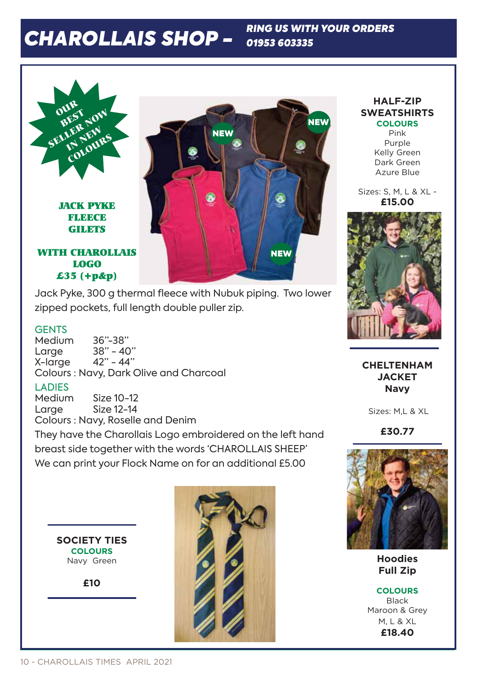# *CHAROLLAIS SHOP -*

*RING US WITH YOUR ORDERS 01953 603335*



Jack Pyke, 300 g thermal fleece with Nubuk piping. Two lower zipped pockets, full length double puller zip.

#### **GENTS**

Medium 36"-38"<br>Larae 38" - 40" Large 38" - 40" X-large 42" - 44" Colours : Navy, Dark Olive and Charcoal

#### LADIES

Medium Size 10-12 Large Size 12-14

Colours : Navy, Roselle and Denim

They have the Charollais Logo embroidered on the left hand breast side together with the words 'CHAROLLAIS SHEEP' We can print your Flock Name on for an additional £5.00

**SOCIETY TIES COLOURS** Navy Green

**£10** 



#### **HALF-ZIP SWEATSHIRTS COLOURS**

Pink Purple Kelly Green Dark Green Azure Blue

Sizes: S, M, L & XL - **£15.00**



**CHELTENHAM JACKET Navy**

Sizes: M,L & XL

**£30.77**



**Hoodies Full Zip**

**COLOURS** Black Maroon & Grey M, L & XL **£18.40**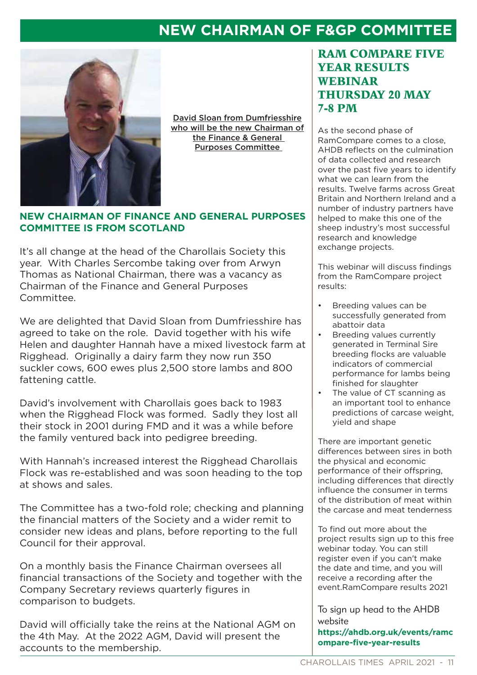## **NEW CHAIRMAN OF F&GP COMMITTEE**



David Sloan from Dumfriesshire who will be the new Chairman of the Finance & General Purposes Committee

#### **NEW CHAIRMAN OF FINANCE AND GENERAL PURPOSES COMMITTEE IS FROM SCOTLAND**

It's all change at the head of the Charollais Society this year. With Charles Sercombe taking over from Arwyn Thomas as National Chairman, there was a vacancy as Chairman of the Finance and General Purposes Committee.

We are delighted that David Sloan from Dumfriesshire has agreed to take on the role. David together with his wife Helen and daughter Hannah have a mixed livestock farm at Rigghead. Originally a dairy farm they now run 350 suckler cows, 600 ewes plus 2,500 store lambs and 800 fattening cattle.

David's involvement with Charollais goes back to 1983 when the Rigghead Flock was formed. Sadly they lost all their stock in 2001 during FMD and it was a while before the family ventured back into pedigree breeding.

With Hannah's increased interest the Rigghead Charollais Flock was re-established and was soon heading to the top at shows and sales.

The Committee has a two-fold role; checking and planning the financial matters of the Society and a wider remit to consider new ideas and plans, before reporting to the full Council for their approval.

On a monthly basis the Finance Chairman oversees all financial transactions of the Society and together with the Company Secretary reviews quarterly figures in comparison to budgets.

David will officially take the reins at the National AGM on the 4th May. At the 2022 AGM, David will present the accounts to the membership.

### RAM COMPARE FIVE YEAR RESULTS WEBINAR THURSDAY 20 MAY 7-8 PM

As the second phase of RamCompare comes to a close, AHDB reflects on the culmination of data collected and research over the past five years to identify what we can learn from the results. Twelve farms across Great Britain and Northern Ireland and a number of industry partners have helped to make this one of the sheep industry's most successful research and knowledge exchange projects.

This webinar will discuss findings from the RamCompare project results:

- Breeding values can be successfully generated from abattoir data
- Breeding values currently generated in Terminal Sire breeding flocks are valuable indicators of commercial performance for lambs being finished for slaughter
- The value of CT scanning as an important tool to enhance predictions of carcase weight, yield and shape

There are important genetic differences between sires in both the physical and economic performance of their offspring, including differences that directly influence the consumer in terms of the distribution of meat within the carcase and meat tenderness

To find out more about the project results sign up to this free webinar today. You can still register even if you can't make the date and time, and you will receive a recording after the event.RamCompare results 2021

To sign up head to the AHDB website

**https://ahdb.org.uk/events/ramc ompare-five-year-results**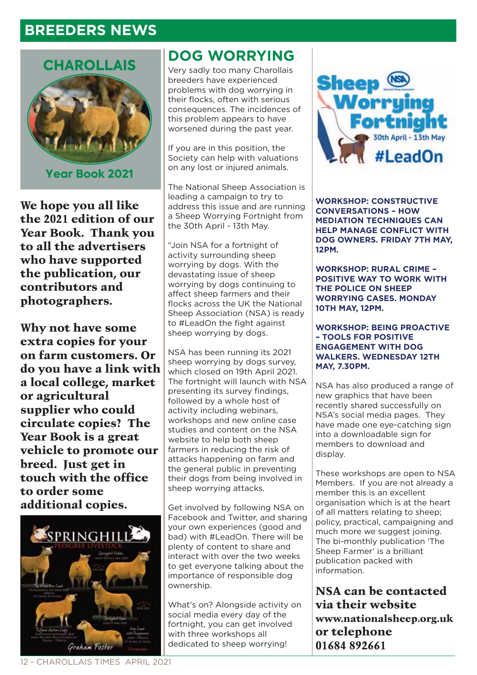### **BREEDERS NEWS**



We hope you all like the 2021 edition of our Year Book. Thank you to all the advertisers who have supported the publication, our contributors and photographers.

Why not have some extra copies for your on farm customers. Or do you have a link with a local college, market or agricultural supplier who could circulate copies? The Year Book is a great vehicle to promote our breed. Just get in touch with the office to order some additional copies.



### **DOG WORRYING**

Very sadly too many Charollais breeders have experienced problems with dog worrying in their flocks, often with serious consequences. The incidences of this problem appears to have worsened during the past year.

If you are in this position, the Society can help with valuations on any lost or injured animals.

The National Sheep Association is leading a campaign to try to address this issue and are running a Sheep Worrying Fortnight from the 30th April - 13th May.

"Join NSA for a fortnight of activity surrounding sheep worrying by dogs. With the devastating issue of sheep worrying by dogs continuing to affect sheep farmers and their flocks across the UK the National Sheep Association (NSA) is ready to #LeadOn the fight against sheep worrying by dogs.

NSA has been running its 2021 sheep worrying by dogs survey, which closed on 19th April 2021. The fortnight will launch with NSA presenting its survey findings, followed by a whole host of activity including webinars, workshops and new online case studies and content on the NSA website to help both sheep farmers in reducing the risk of attacks happening on farm and the general public in preventing their dogs from being involved in sheep worrying attacks.

Get involved by following NSA on Facebook and Twitter, and sharing your own experiences (good and bad) with #LeadOn. There will be plenty of content to share and interact with over the two weeks to get everyone talking about the importance of responsible dog ownership.

What's on? Alongside activity on social media every day of the fortnight, you can get involved with three workshops all dedicated to sheep worrying!



**WORKSHOP: CONSTRUCTIVE CONVERSATIONS – HOW MEDIATION TECHNIQUES CAN HELP MANAGE CONFLICT WITH DOG OWNERS. FRIDAY 7TH MAY, 12PM.**

**WORKSHOP: RURAL CRIME – POSITIVE WAY TO WORK WITH THE POLICE ON SHEEP WORRYING CASES. MONDAY 10TH MAY, 12PM.**

**WORKSHOP: BEING PROACTIVE – TOOLS FOR POSITIVE ENGAGEMENT WITH DOG WALKERS. WEDNESDAY 12TH MAY, 7.30PM.**

NSA has also produced a range of new graphics that have been recently shared successfully on NSA's social media pages. They have made one eye-catching sign into a downloadable sign for members to download and display.

These workshops are open to NSA Members. If you are not already a member this is an excellent organisation which is at the heart of all matters relating to sheep; policy, practical, campaigning and much more we suggest joining. The bi-monthly publication 'The Sheep Farmer' is a brilliant publication packed with information.

NSA can be contacted via their website www.nationalsheep.org.uk or telephone 01684 892661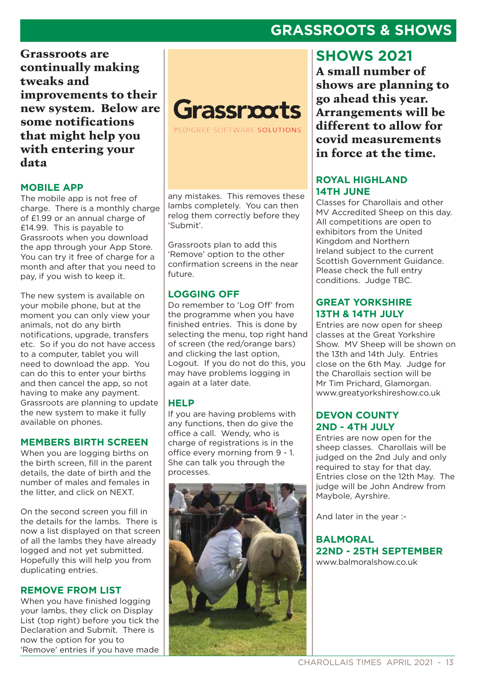### **GRASSROOTS & SHOWS**

Grassroots are continually making tweaks and improvements to their new system. Below are some notifications that might help you with entering your data

#### **MOBILE APP**

The mobile app is not free of charge. There is a monthly charge of £1.99 or an annual charge of £14.99. This is payable to Grassroots when you download the app through your App Store. You can try it free of charge for a month and after that you need to pay, if you wish to keep it.

The new system is available on your mobile phone, but at the moment you can only view your animals, not do any birth notifications, upgrade, transfers etc. So if you do not have access to a computer, tablet you will need to download the app. You can do this to enter your births and then cancel the app, so not having to make any payment. Grassroots are planning to update the new system to make it fully available on phones.

#### **MEMBERS BIRTH SCREEN**

When you are logging births on the birth screen, fill in the parent details, the date of birth and the number of males and females in the litter, and click on NEXT.

On the second screen you fill in the details for the lambs. There is now a list displayed on that screen of all the lambs they have already logged and not yet submitted. Hopefully this will help you from duplicating entries.

#### **REMOVE FROM LIST**

When you have finished logging your lambs, they click on Display List (top right) before you tick the Declaration and Submit. There is now the option for you to 'Remove' entries if you have made

# Grassrxxts

PEDIGREE SOFTWARE SOLUTIONS

any mistakes. This removes these lambs completely. You can then relog them correctly before they 'Submit'.

Grassroots plan to add this 'Remove' option to the other confirmation screens in the near future.

#### **LOGGING OFF**

Do remember to 'Log Off' from the programme when you have finished entries. This is done by selecting the menu, top right hand of screen (the red/orange bars) and clicking the last option, Logout. If you do not do this, you may have problems logging in again at a later date.

#### **HELP**

If you are having problems with any functions, then do give the office a call. Wendy, who is charge of registrations is in the office every morning from 9 - 1. She can talk you through the processes.



### **SHOWS 2021**

A small number of shows are planning to go ahead this year. Arrangements will be different to allow for covid measurements in force at the time.

#### **ROYAL HIGHLAND 14TH JUNE**

Classes for Charollais and other MV Accredited Sheep on this day. All competitions are open to exhibitors from the United Kingdom and Northern Ireland subject to the current Scottish Government Guidance. Please check the full entry conditions. Judge TBC.

#### **GREAT YORKSHIRE 13TH & 14TH JULY**

Entries are now open for sheep classes at the Great Yorkshire Show. MV Sheep will be shown on the 13th and 14th July. Entries close on the 6th May. Judge for the Charollais section will be Mr Tim Prichard, Glamorgan. www.greatyorkshireshow.co.uk

#### **DEVON COUNTY 2ND - 4TH JULY**

Entries are now open for the sheep classes. Charollais will be judged on the 2nd July and only required to stay for that day. Entries close on the 12th May. The judge will be John Andrew from Maybole, Ayrshire.

And later in the year :-

**BALMORAL 22ND - 25TH SEPTEMBER**  www.balmoralshow.co.uk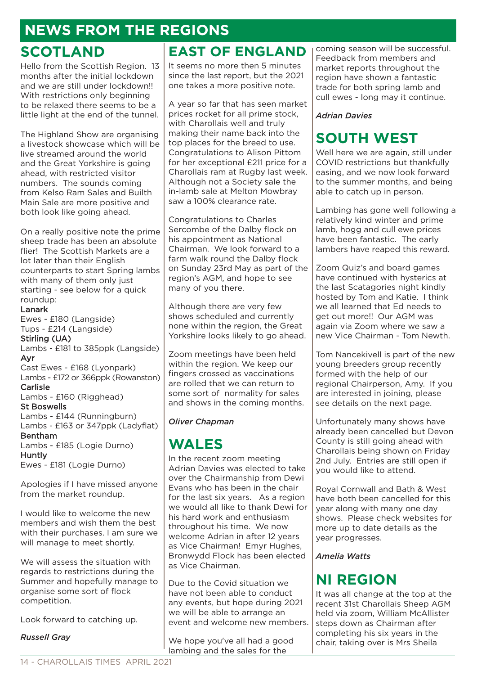# **NEWS FROM THE REGIONS**

### **SCOTLAND**

Hello from the Scottish Region. 13 months after the initial lockdown and we are still under lockdown!! With restrictions only beginning to be relaxed there seems to be a little light at the end of the tunnel.

The Highland Show are organising a livestock showcase which will be live streamed around the world and the Great Yorkshire is going ahead, with restricted visitor numbers. The sounds coming from Kelso Ram Sales and Builth Main Sale are more positive and both look like going ahead.

On a really positive note the prime sheep trade has been an absolute flier! The Scottish Markets are a lot later than their English counterparts to start Spring lambs with many of them only just starting - see below for a quick roundup:

#### Lanark

Ewes - £180 (Langside) Tups - £214 (Langside) Stirling (UA) Lambs - £181 to 385ppk (Langside) Ayr Cast Ewes - £168 (Lyonpark) Lambs - £172 or 366ppk (Rowanston) Carlisle Lambs - £160 (Rigghead) St Boswells Lambs - £144 (Runningburn) Lambs - £163 or 347ppk (Ladyflat) Bentham Lambs - £185 (Logie Durno) Huntly Ewes - £181 (Logie Durno)

Apologies if I have missed anyone from the market roundup.

I would like to welcome the new members and wish them the best with their purchases. I am sure we will manage to meet shortly.

We will assess the situation with regards to restrictions during the Summer and hopefully manage to organise some sort of flock competition.

Look forward to catching up.

*Russell Gray*

### **EAST OF ENGLAND**

It seems no more then 5 minutes since the last report, but the 2021 one takes a more positive note.

A year so far that has seen market prices rocket for all prime stock, with Charollais well and truly making their name back into the top places for the breed to use. Congratulations to Alison Pittom for her exceptional £211 price for a Charollais ram at Rugby last week. Although not a Society sale the in-lamb sale at Melton Mowbray saw a 100% clearance rate.

Congratulations to Charles Sercombe of the Dalby flock on his appointment as National Chairman. We look forward to a farm walk round the Dalby flock on Sunday 23rd May as part of the region's AGM, and hope to see many of you there.

Although there are very few shows scheduled and currently none within the region, the Great Yorkshire looks likely to go ahead.

Zoom meetings have been held within the region. We keep our fingers crossed as vaccinations are rolled that we can return to some sort of normality for sales and shows in the coming months.

#### *Oliver Chapman*

### **WALES**

In the recent zoom meeting Adrian Davies was elected to take over the Chairmanship from Dewi Evans who has been in the chair for the last six years. As a region we would all like to thank Dewi for his hard work and enthusiasm throughout his time. We now welcome Adrian in after 12 years as Vice Chairman! Emyr Hughes, Bronwydd Flock has been elected as Vice Chairman.

Due to the Covid situation we have not been able to conduct any events, but hope during 2021 we will be able to arrange an event and welcome new members.

We hope you've all had a good lambing and the sales for the

coming season will be successful. Feedback from members and market reports throughout the region have shown a fantastic trade for both spring lamb and cull ewes - long may it continue.

#### *Adrian Davies*

# **SOUTH WEST**

Well here we are again, still under COVID restrictions but thankfully easing, and we now look forward to the summer months, and being able to catch up in person.

Lambing has gone well following a relatively kind winter and prime lamb, hogg and cull ewe prices have been fantastic. The early lambers have reaped this reward.

Zoom Quiz's and board games have continued with hysterics at the last Scatagories night kindly hosted by Tom and Katie. I think we all learned that Ed needs to get out more!! Our AGM was again via Zoom where we saw a new Vice Chairman - Tom Newth.

Tom Nancekivell is part of the new young breeders group recently formed with the help of our regional Chairperson, Amy. If you are interested in joining, please see details on the next page.

Unfortunately many shows have already been cancelled but Devon County is still going ahead with Charollais being shown on Friday 2nd July. Entries are still open if you would like to attend.

Royal Cornwall and Bath & West have both been cancelled for this year along with many one day shows. Please check websites for more up to date details as the year progresses.

#### *Amelia Watts*

## **NI REGION**

It was all change at the top at the recent 31st Charollais Sheep AGM held via zoom, William McAllister steps down as Chairman after completing his six years in the chair, taking over is Mrs Sheila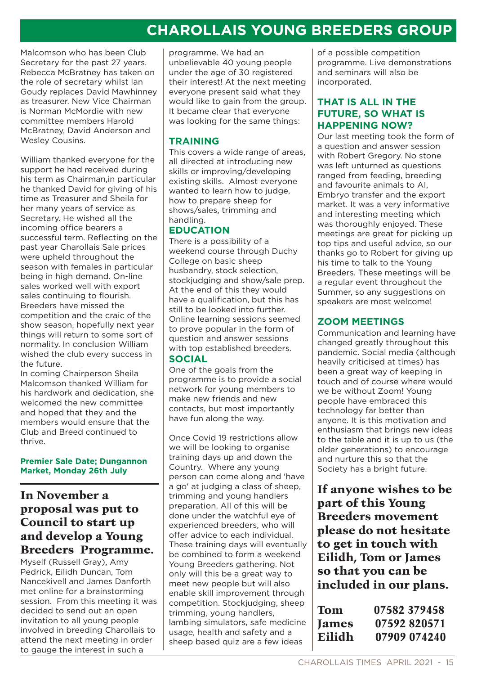# **CHAROLLAIS YOUNG BREEDERS GROUP**

Malcomson who has been Club Secretary for the past 27 years. Rebecca McBratney has taken on the role of secretary whilst Ian Goudy replaces David Mawhinney as treasurer. New Vice Chairman is Norman McMordie with new committee members Harold McBratney, David Anderson and Wesley Cousins.

William thanked everyone for the support he had received during his term as Chairman,in particular he thanked David for giving of his time as Treasurer and Sheila for her many years of service as Secretary. He wished all the incoming office bearers a successful term. Reflecting on the past year Charollais Sale prices were upheld throughout the season with females in particular being in high demand. On-line sales worked well with export sales continuing to flourish. Breeders have missed the competition and the craic of the show season, hopefully next year things will return to some sort of normality. In conclusion William wished the club every success in the future.

In coming Chairperson Sheila Malcomson thanked William for his hardwork and dedication, she welcomed the new committee and hoped that they and the members would ensure that the Club and Breed continued to thrive.

**Premier Sale Date; Dungannon Market, Monday 26th July**

### In November a proposal was put to Council to start up and develop a Young Breeders Programme.

Myself (Russell Gray), Amy Pedrick, Eilidh Duncan, Tom Nancekivell and James Danforth met online for a brainstorming session. From this meeting it was decided to send out an open invitation to all young people involved in breeding Charollais to attend the next meeting in order to gauge the interest in such a

programme. We had an unbelievable 40 young people under the age of 30 registered their interest! At the next meeting everyone present said what they would like to gain from the group. It became clear that everyone was looking for the same things:

#### **TRAINING**

This covers a wide range of areas, all directed at introducing new skills or improving/developing existing skills. Almost everyone wanted to learn how to judge. how to prepare sheep for shows/sales, trimming and handling.

#### **EDUCATION**

There is a possibility of a weekend course through Duchy College on basic sheep husbandry, stock selection, stockjudging and show/sale prep. At the end of this they would have a qualification, but this has still to be looked into further. Online learning sessions seemed to prove popular in the form of question and answer sessions with top established breeders.

#### **SOCIAL**

One of the goals from the programme is to provide a social network for young members to make new friends and new contacts, but most importantly have fun along the way.

Once Covid 19 restrictions allow we will be looking to organise training days up and down the Country. Where any young person can come along and 'have a go' at judging a class of sheep, trimming and young handlers preparation. All of this will be done under the watchful eye of experienced breeders, who will offer advice to each individual. These training days will eventually be combined to form a weekend Young Breeders gathering. Not only will this be a great way to meet new people but will also enable skill improvement through competition. Stockjudging, sheep trimming, young handlers, lambing simulators, safe medicine usage, health and safety and a sheep based quiz are a few ideas

of a possible competition programme. Live demonstrations and seminars will also be incorporated.

#### **THAT IS ALL IN THE FUTURE, SO WHAT IS HAPPENING NOW?**

Our last meeting took the form of a question and answer session with Robert Gregory. No stone was left unturned as questions ranged from feeding, breeding and favourite animals to AI, Embryo transfer and the export market. It was a very informative and interesting meeting which was thoroughly enjoyed. These meetings are great for picking up top tips and useful advice, so our thanks go to Robert for giving up his time to talk to the Young Breeders. These meetings will be a regular event throughout the Summer, so any suggestions on speakers are most welcome!

#### **ZOOM MEETINGS**

Communication and learning have changed greatly throughout this pandemic. Social media (although heavily criticised at times) has been a great way of keeping in touch and of course where would we be without Zoom! Young people have embraced this technology far better than anyone. It is this motivation and enthusiasm that brings new ideas to the table and it is up to us (the older generations) to encourage and nurture this so that the Society has a bright future.

If anyone wishes to be part of this Young Breeders movement please do not hesitate to get in touch with Eilidh, Tom or James so that you can be included in our plans.

| Tom    | 07582 379458 |
|--------|--------------|
| James  | 07592820571  |
| Eilidh | 07909 074240 |